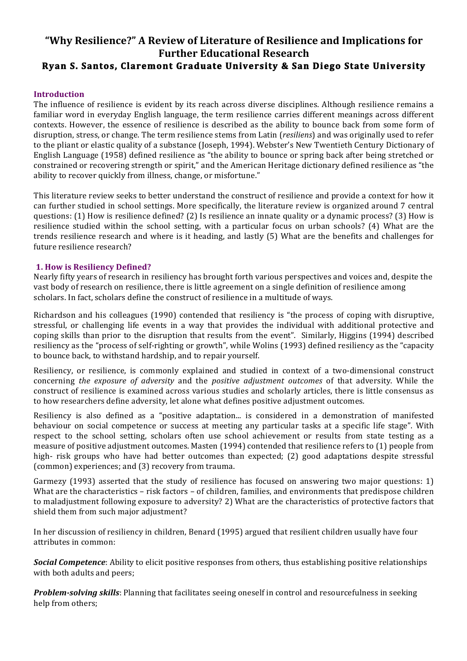# "Why Resilience?" A Review of Literature of Resilience and Implications for **Further Educational Research**

# **Rvan S. Santos, Claremont Graduate University & San Diego State University**

# **Introduction**

The influence of resilience is evident by its reach across diverse disciplines. Although resilience remains a familiar word in everyday English language, the term resilience carries different meanings across different contexts. However, the essence of resilience is described as the ability to bounce back from some form of disruption, stress, or change. The term resilience stems from Latin (*resiliens*) and was originally used to refer to the pliant or elastic quality of a substance (Joseph, 1994). Webster's New Twentieth Century Dictionary of English Language (1958) defined resilience as "the ability to bounce or spring back after being stretched or constrained or recovering strength or spirit," and the American Heritage dictionary defined resilience as "the ability to recover quickly from illness, change, or misfortune."

This literature review seeks to better understand the construct of resilience and provide a context for how it can further studied in school settings. More specifically, the literature review is organized around 7 central questions:  $(1)$  How is resilience defined?  $(2)$  Is resilience an innate quality or a dynamic process?  $(3)$  How is resilience studied within the school setting, with a particular focus on urban schools? (4) What are the trends resilience research and where is it heading, and lastly (5) What are the benefits and challenges for future resilience research?

# **1. How is Resiliency Defined?**

Nearly fifty years of research in resiliency has brought forth various perspectives and voices and, despite the vast body of research on resilience, there is little agreement on a single definition of resilience among scholars. In fact, scholars define the construct of resilience in a multitude of ways.

Richardson and his colleagues  $(1990)$  contended that resiliency is "the process of coping with disruptive, stressful, or challenging life events in a way that provides the individual with additional protective and coping skills than prior to the disruption that results from the event". Similarly, Higgins (1994) described resiliency as the "process of self-righting or growth", while Wolins (1993) defined resiliency as the "capacity to bounce back, to withstand hardship, and to repair yourself.

Resiliency, or resilience, is commonly explained and studied in context of a two-dimensional construct concerning the exposure of adversity and the positive adjustment outcomes of that adversity. While the construct of resilience is examined across various studies and scholarly articles, there is little consensus as to how researchers define adversity, let alone what defines positive adjustment outcomes.

Resiliency is also defined as a "positive adaptation... is considered in a demonstration of manifested behaviour on social competence or success at meeting any particular tasks at a specific life stage". With respect to the school setting, scholars often use school achievement or results from state testing as a measure of positive adjustment outcomes. Masten (1994) contended that resilience refers to (1) people from high- risk groups who have had better outcomes than expected; (2) good adaptations despite stressful (common) experiences; and (3) recovery from trauma.

Garmezy  $(1993)$  asserted that the study of resilience has focused on answering two major questions: 1) What are the characteristics – risk factors – of children, families, and environments that predispose children to maladjustment following exposure to adversity? 2) What are the characteristics of protective factors that shield them from such major adjustment?

In her discussion of resiliency in children, Benard (1995) argued that resilient children usually have four attributes in common:

**Social Competence**: Ability to elicit positive responses from others, thus establishing positive relationships with both adults and peers;

**Problem-solving skills**: Planning that facilitates seeing oneself in control and resourcefulness in seeking help from others;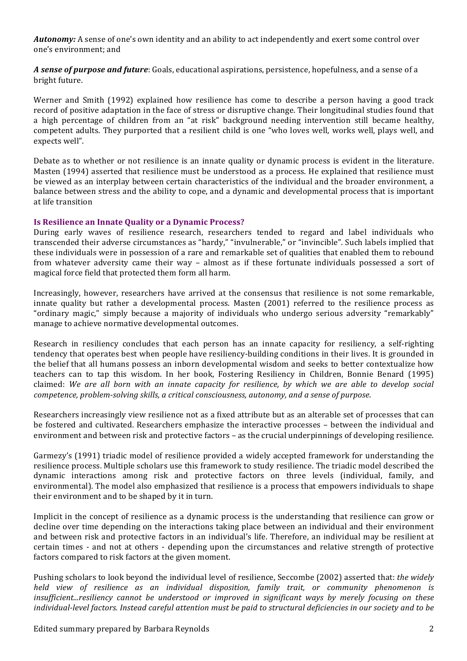*Autonomy:* A sense of one's own identity and an ability to act independently and exert some control over one's environment; and 

*A* sense of purpose and future: Goals, educational aspirations, persistence, hopefulness, and a sense of a bright future.

Werner and Smith (1992) explained how resilience has come to describe a person having a good track record of positive adaptation in the face of stress or disruptive change. Their longitudinal studies found that a high percentage of children from an "at risk" background needing intervention still became healthy, competent adults. They purported that a resilient child is one "who loves well, works well, plays well, and expects well".

Debate as to whether or not resilience is an innate quality or dynamic process is evident in the literature. Masten (1994) asserted that resilience must be understood as a process. He explained that resilience must be viewed as an interplay between certain characteristics of the individual and the broader environment, a balance between stress and the ability to cope, and a dynamic and developmental process that is important at life transition

# **Is Resilience an Innate Quality or a Dynamic Process?**

During early waves of resilience research, researchers tended to regard and label individuals who transcended their adverse circumstances as "hardy," "invulnerable," or "invincible". Such labels implied that these individuals were in possession of a rare and remarkable set of qualities that enabled them to rebound from whatever adversity came their way – almost as if these fortunate individuals possessed a sort of magical force field that protected them form all harm.

Increasingly, however, researchers have arrived at the consensus that resilience is not some remarkable, innate quality but rather a developmental process. Masten (2001) referred to the resilience process as "ordinary magic," simply because a majority of individuals who undergo serious adversity "remarkably" manage to achieve normative developmental outcomes.

Research in resiliency concludes that each person has an innate capacity for resiliency, a self-righting tendency that operates best when people have resiliency-building conditions in their lives. It is grounded in the belief that all humans possess an inborn developmental wisdom and seeks to better contextualize how teachers can to tap this wisdom. In her book, Fostering Resiliency in Children, Bonnie Benard (1995) claimed: We are all born with an innate capacity for resilience, by which we are able to develop social *competence, problem-solving skills, a critical consciousness, autonomy, and a sense of purpose.* 

Researchers increasingly view resilience not as a fixed attribute but as an alterable set of processes that can be fostered and cultivated. Researchers emphasize the interactive processes – between the individual and environment and between risk and protective factors – as the crucial underpinnings of developing resilience.

Garmezy's (1991) triadic model of resilience provided a widely accepted framework for understanding the resilience process. Multiple scholars use this framework to study resilience. The triadic model described the dynamic interactions among risk and protective factors on three levels (individual, family, and environmental). The model also emphasized that resilience is a process that empowers individuals to shape their environment and to be shaped by it in turn.

Implicit in the concept of resilience as a dynamic process is the understanding that resilience can grow or decline over time depending on the interactions taking place between an individual and their environment and between risk and protective factors in an individual's life. Therefore, an individual may be resilient at certain times - and not at others - depending upon the circumstances and relative strength of protective factors compared to risk factors at the given moment.

Pushing scholars to look beyond the individual level of resilience, Seccombe (2002) asserted that: *the widely held* view of resilience as an individual disposition, family trait, or community phenomenon is *insufficient...resiliency cannot be understood or improved in significant ways by merely focusing on these individual-level factors. Instead careful attention must be paid to structural deficiencies in our society and to be*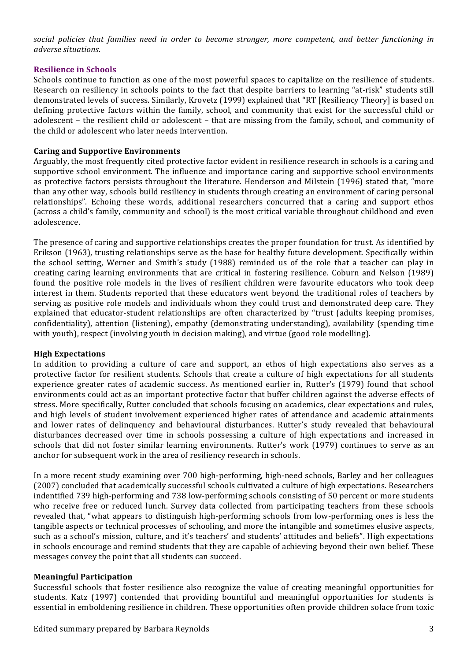social policies that families need in order to become stronger, more competent, and better functioning in *adverse situations*. 

# **Resilience in Schools**

Schools continue to function as one of the most powerful spaces to capitalize on the resilience of students. Research on resiliency in schools points to the fact that despite barriers to learning "at-risk" students still demonstrated levels of success. Similarly, Krovetz (1999) explained that "RT [Resiliency Theory] is based on defining protective factors within the family, school, and community that exist for the successful child or adolescent – the resilient child or adolescent – that are missing from the family, school, and community of the child or adolescent who later needs intervention.

# **Caring and Supportive Environments**

Arguably, the most frequently cited protective factor evident in resilience research in schools is a caring and supportive school environment. The influence and importance caring and supportive school environments as protective factors persists throughout the literature. Henderson and Milstein (1996) stated that, "more than any other way, schools build resiliency in students through creating an environment of caring personal relationships". Echoing these words, additional researchers concurred that a caring and support ethos (across a child's family, community and school) is the most critical variable throughout childhood and even adolescence. 

The presence of caring and supportive relationships creates the proper foundation for trust. As identified by Erikson (1963), trusting relationships serve as the base for healthy future development. Specifically within the school setting, Werner and Smith's study (1988) reminded us of the role that a teacher can play in creating caring learning environments that are critical in fostering resilience. Coburn and Nelson (1989) found the positive role models in the lives of resilient children were favourite educators who took deep interest in them. Students reported that these educators went beyond the traditional roles of teachers by serving as positive role models and individuals whom they could trust and demonstrated deep care. They explained that educator-student relationships are often characterized by "trust (adults keeping promises, confidentiality), attention (listening), empathy (demonstrating understanding), availability (spending time with youth), respect (involving youth in decision making), and virtue (good role modelling).

## **High Expectations**

In addition to providing a culture of care and support, an ethos of high expectations also serves as a protective factor for resilient students. Schools that create a culture of high expectations for all students experience greater rates of academic success. As mentioned earlier in, Rutter's (1979) found that school environments could act as an important protective factor that buffer children against the adverse effects of stress. More specifically, Rutter concluded that schools focusing on academics, clear expectations and rules, and high levels of student involvement experienced higher rates of attendance and academic attainments and lower rates of delinquency and behavioural disturbances. Rutter's study revealed that behavioural disturbances decreased over time in schools possessing a culture of high expectations and increased in schools that did not foster similar learning environments. Rutter's work (1979) continues to serve as an anchor for subsequent work in the area of resiliency research in schools.

In a more recent study examining over 700 high-performing, high-need schools, Barley and her colleagues (2007) concluded that academically successful schools cultivated a culture of high expectations. Researchers indentified 739 high-performing and 738 low-performing schools consisting of 50 percent or more students who receive free or reduced lunch. Survey data collected from participating teachers from these schools revealed that, "what appears to distinguish high-performing schools from low-performing ones is less the tangible aspects or technical processes of schooling, and more the intangible and sometimes elusive aspects, such as a school's mission, culture, and it's teachers' and students' attitudes and beliefs". High expectations in schools encourage and remind students that they are capable of achieving beyond their own belief. These messages convey the point that all students can succeed.

## **Meaningful Participation**

Successful schools that foster resilience also recognize the value of creating meaningful opportunities for students. Katz (1997) contended that providing bountiful and meaningful opportunities for students is essential in emboldening resilience in children. These opportunities often provide children solace from toxic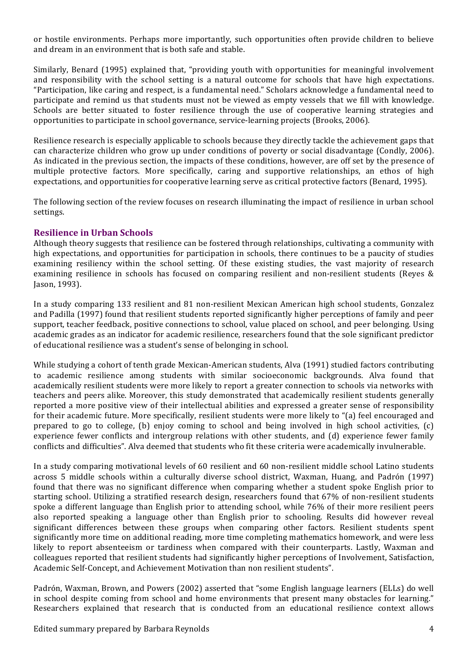or hostile environments. Perhaps more importantly, such opportunities often provide children to believe and dream in an environment that is both safe and stable.

Similarly, Benard (1995) explained that, "providing youth with opportunities for meaningful involvement and responsibility with the school setting is a natural outcome for schools that have high expectations. "Participation, like caring and respect, is a fundamental need." Scholars acknowledge a fundamental need to participate and remind us that students must not be viewed as empty vessels that we fill with knowledge. Schools are better situated to foster resilience through the use of cooperative learning strategies and opportunities to participate in school governance, service-learning projects (Brooks, 2006).

Resilience research is especially applicable to schools because they directly tackle the achievement gaps that can characterize children who grow up under conditions of poverty or social disadvantage (Condly, 2006). As indicated in the previous section, the impacts of these conditions, however, are off set by the presence of multiple protective factors. More specifically, caring and supportive relationships, an ethos of high expectations, and opportunities for cooperative learning serve as critical protective factors (Benard, 1995).

The following section of the review focuses on research illuminating the impact of resilience in urban school settings. 

# **Resilience in Urban Schools**

Although theory suggests that resilience can be fostered through relationships, cultivating a community with high expectations, and opportunities for participation in schools, there continues to be a paucity of studies examining resiliency within the school setting. Of these existing studies, the vast majority of research examining resilience in schools has focused on comparing resilient and non-resilient students (Reyes & Jason, 1993).

In a study comparing 133 resilient and 81 non-resilient Mexican American high school students, Gonzalez and Padilla (1997) found that resilient students reported significantly higher perceptions of family and peer support, teacher feedback, positive connections to school, value placed on school, and peer belonging. Using academic grades as an indicator for academic resilience, researchers found that the sole significant predictor of educational resilience was a student's sense of belonging in school.

While studying a cohort of tenth grade Mexican-American students, Alva (1991) studied factors contributing to academic resilience among students with similar socioeconomic backgrounds. Alva found that academically resilient students were more likely to report a greater connection to schools via networks with teachers and peers alike. Moreover, this study demonstrated that academically resilient students generally reported a more positive view of their intellectual abilities and expressed a greater sense of responsibility for their academic future. More specifically, resilient students were more likely to "(a) feel encouraged and prepared to go to college, (b) enjoy coming to school and being involved in high school activities,  $(c)$ experience fewer conflicts and intergroup relations with other students, and (d) experience fewer family conflicts and difficulties". Alva deemed that students who fit these criteria were academically invulnerable.

In a study comparing motivational levels of 60 resilient and 60 non-resilient middle school Latino students across 5 middle schools within a culturally diverse school district, Waxman, Huang, and Padrón (1997) found that there was no significant difference when comparing whether a student spoke English prior to starting school. Utilizing a stratified research design, researchers found that 67% of non-resilient students spoke a different language than English prior to attending school, while 76% of their more resilient peers also reported speaking a language other than English prior to schooling. Results did however reveal significant differences between these groups when comparing other factors. Resilient students spent significantly more time on additional reading, more time completing mathematics homework, and were less likely to report absenteeism or tardiness when compared with their counterparts. Lastly, Waxman and colleagues reported that resilient students had significantly higher perceptions of Involvement, Satisfaction, Academic Self-Concept, and Achievement Motivation than non resilient students".

Padrón, Waxman, Brown, and Powers (2002) asserted that "some English language learners (ELLs) do well in school despite coming from school and home environments that present many obstacles for learning." Researchers explained that research that is conducted from an educational resilience context allows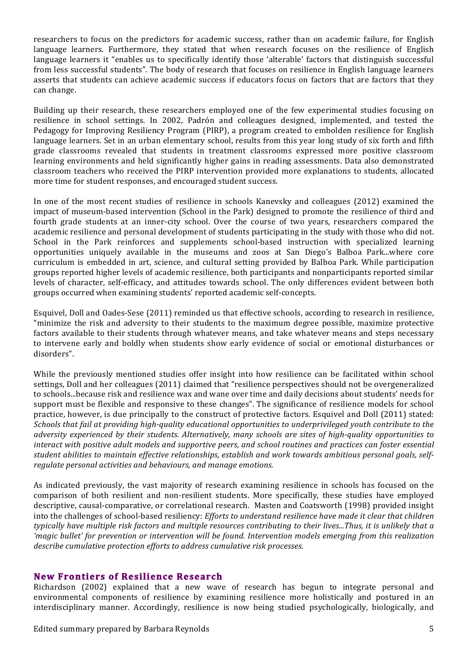researchers to focus on the predictors for academic success, rather than on academic failure, for English language learners. Furthermore, they stated that when research focuses on the resilience of English language learners it "enables us to specifically identify those 'alterable' factors that distinguish successful from less successful students". The body of research that focuses on resilience in English language learners asserts that students can achieve academic success if educators focus on factors that are factors that they can change.

Building up their research, these researchers employed one of the few experimental studies focusing on resilience in school settings. In 2002, Padrón and colleagues designed, implemented, and tested the Pedagogy for Improving Resiliency Program (PIRP), a program created to embolden resilience for English language learners. Set in an urban elementary school, results from this year long study of six forth and fifth grade classrooms revealed that students in treatment classrooms expressed more positive classroom learning environments and held significantly higher gains in reading assessments. Data also demonstrated classroom teachers who received the PIRP intervention provided more explanations to students, allocated more time for student responses, and encouraged student success.

In one of the most recent studies of resilience in schools Kanevsky and colleagues (2012) examined the impact of museum-based intervention (School in the Park) designed to promote the resilience of third and fourth grade students at an inner-city school. Over the course of two years, researchers compared the academic resilience and personal development of students participating in the study with those who did not. School in the Park reinforces and supplements school-based instruction with specialized learning opportunities uniquely available in the museums and zoos at San Diego's Balboa Park...where core curriculum is embedded in art, science, and cultural setting provided by Balboa Park. While participation groups reported higher levels of academic resilience, both participants and nonparticipants reported similar levels of character, self-efficacy, and attitudes towards school. The only differences evident between both groups occurred when examining students' reported academic self-concepts.

Esquivel, Doll and Oades-Sese (2011) reminded us that effective schools, according to research in resilience, "minimize the risk and adversity to their students to the maximum degree possible, maximize protective factors available to their students through whatever means, and take whatever means and steps necessary to intervene early and boldly when students show early evidence of social or emotional disturbances or disorders". 

While the previously mentioned studies offer insight into how resilience can be facilitated within school settings, Doll and her colleagues (2011) claimed that "resilience perspectives should not be overgeneralized to schools...because risk and resilience wax and wane over time and daily decisions about students' needs for support must be flexible and responsive to these changes". The significance of resilience models for school practice, however, is due principally to the construct of protective factors. Esquivel and Doll (2011) stated: *Schools* that fail at providing high-quality educational opportunities to underprivileged youth contribute to the *adversity* experienced by their students. Alternatively, many schools are sites of high-quality opportunities to *interact* with positive adult models and supportive peers, and school routines and practices can foster essential student abilities to maintain effective relationships, establish and work towards ambitious personal goals, self*regulate personal activities and behaviours, and manage emotions.* 

As indicated previously, the vast majority of research examining resilience in schools has focused on the comparison of both resilient and non-resilient students. More specifically, these studies have employed descriptive, causal-comparative, or correlational research. Masten and Coatsworth (1998) provided insight into the challenges of school-based resiliency: *Efforts to understand resilience have made it clear that children typically have multiple risk factors and multiple resources contributing to their lives...Thus, it is unlikely that a* 'magic bullet' for prevention or intervention will be found. Intervention models emerging from this realization describe cumulative protection efforts to address cumulative risk processes.

# **New Frontiers of Resilience Research**

Richardson (2002) explained that a new wave of research has begun to integrate personal and environmental components of resilience by examining resilience more holistically and postured in an interdisciplinary manner. Accordingly, resilience is now being studied psychologically, biologically, and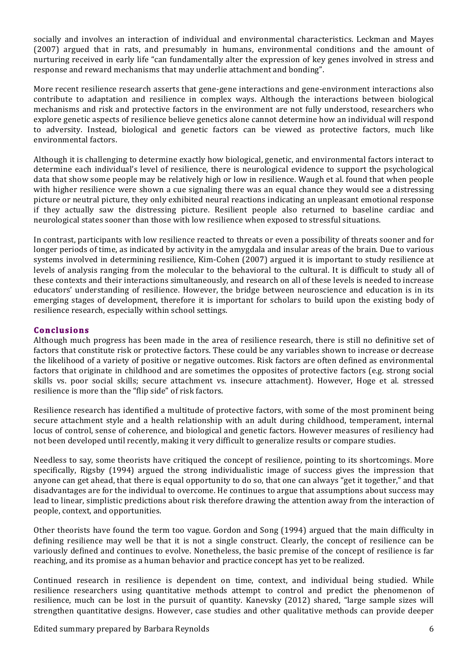socially and involves an interaction of individual and environmental characteristics. Leckman and Mayes (2007) argued that in rats, and presumably in humans, environmental conditions and the amount of nurturing received in early life "can fundamentally alter the expression of key genes involved in stress and response and reward mechanisms that may underlie attachment and bonding".

More recent resilience research asserts that gene-gene interactions and gene-environment interactions also contribute to adaptation and resilience in complex ways. Although the interactions between biological mechanisms and risk and protective factors in the environment are not fully understood, researchers who explore genetic aspects of resilience believe genetics alone cannot determine how an individual will respond to adversity. Instead, biological and genetic factors can be viewed as protective factors, much like environmental factors.

Although it is challenging to determine exactly how biological, genetic, and environmental factors interact to determine each individual's level of resilience, there is neurological evidence to support the psychological data that show some people may be relatively high or low in resilience. Waugh et al. found that when people with higher resilience were shown a cue signaling there was an equal chance they would see a distressing picture or neutral picture, they only exhibited neural reactions indicating an unpleasant emotional response if they actually saw the distressing picture. Resilient people also returned to baseline cardiac and neurological states sooner than those with low resilience when exposed to stressful situations.

In contrast, participants with low resilience reacted to threats or even a possibility of threats sooner and for longer periods of time, as indicated by activity in the amygdala and insular areas of the brain. Due to various systems involved in determining resilience, Kim-Cohen (2007) argued it is important to study resilience at levels of analysis ranging from the molecular to the behavioral to the cultural. It is difficult to study all of these contexts and their interactions simultaneously, and research on all of these levels is needed to increase educators' understanding of resilience. However, the bridge between neuroscience and education is in its emerging stages of development, therefore it is important for scholars to build upon the existing body of resilience research, especially within school settings.

# **Conclusions**

Although much progress has been made in the area of resilience research, there is still no definitive set of factors that constitute risk or protective factors. These could be any variables shown to increase or decrease the likelihood of a variety of positive or negative outcomes. Risk factors are often defined as environmental factors that originate in childhood and are sometimes the opposites of protective factors (e.g. strong social skills vs. poor social skills; secure attachment vs. insecure attachment). However, Hoge et al. stressed resilience is more than the "flip side" of risk factors.

Resilience research has identified a multitude of protective factors, with some of the most prominent being secure attachment style and a health relationship with an adult during childhood, temperament, internal locus of control, sense of coherence, and biological and genetic factors. However measures of resiliency had not been developed until recently, making it very difficult to generalize results or compare studies.

Needless to say, some theorists have critiqued the concept of resilience, pointing to its shortcomings. More specifically, Rigsby (1994) argued the strong individualistic image of success gives the impression that anyone can get ahead, that there is equal opportunity to do so, that one can always "get it together," and that disadvantages are for the individual to overcome. He continues to argue that assumptions about success may lead to linear, simplistic predictions about risk therefore drawing the attention away from the interaction of people, context, and opportunities.

Other theorists have found the term too vague. Gordon and Song  $(1994)$  argued that the main difficulty in defining resilience may well be that it is not a single construct. Clearly, the concept of resilience can be variously defined and continues to evolve. Nonetheless, the basic premise of the concept of resilience is far reaching, and its promise as a human behavior and practice concept has yet to be realized.

Continued research in resilience is dependent on time, context, and individual being studied. While resilience researchers using quantitative methods attempt to control and predict the phenomenon of resilience, much can be lost in the pursuit of quantity. Kanevsky (2012) shared, "large sample sizes will strengthen quantitative designs. However, case studies and other qualitative methods can provide deeper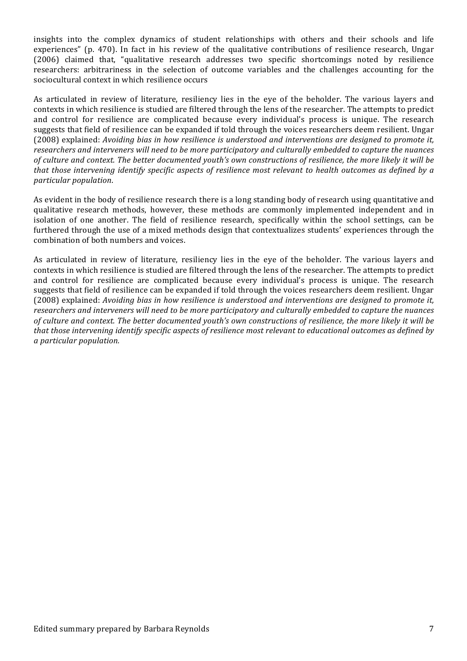insights into the complex dynamics of student relationships with others and their schools and life experiences" (p. 470). In fact in his review of the qualitative contributions of resilience research, Ungar (2006) claimed that, "qualitative research addresses two specific shortcomings noted by resilience researchers: arbitrariness in the selection of outcome variables and the challenges accounting for the sociocultural context in which resilience occurs

As articulated in review of literature, resiliency lies in the eye of the beholder. The various layers and contexts in which resilience is studied are filtered through the lens of the researcher. The attempts to predict and control for resilience are complicated because every individual's process is unique. The research suggests that field of resilience can be expanded if told through the voices researchers deem resilient. Ungar (2008) explained: *Avoiding bias in how resilience is understood and interventions are designed to promote it,* researchers and interveners will need to be more participatory and culturally embedded to capture the nuances of culture and context. The better documented youth's own constructions of resilience, the more likely it will be that those intervening identify specific aspects of resilience most relevant to health outcomes as defined by a *particular population*.

As evident in the body of resilience research there is a long standing body of research using quantitative and qualitative research methods, however, these methods are commonly implemented independent and in isolation of one another. The field of resilience research, specifically within the school settings, can be furthered through the use of a mixed methods design that contextualizes students' experiences through the combination of both numbers and voices.

As articulated in review of literature, resiliency lies in the eye of the beholder. The various layers and contexts in which resilience is studied are filtered through the lens of the researcher. The attempts to predict and control for resilience are complicated because every individual's process is unique. The research suggests that field of resilience can be expanded if told through the voices researchers deem resilient. Ungar (2008) explained: Avoiding bias in how resilience is understood and interventions are designed to promote it, *researchers and interveners will need to be more participatory and culturally embedded to capture the nuances* of culture and context. The better documented youth's own constructions of resilience, the more likely it will be that those intervening *identify* specific aspects of resilience most relevant to educational outcomes as defined by *a particular population.*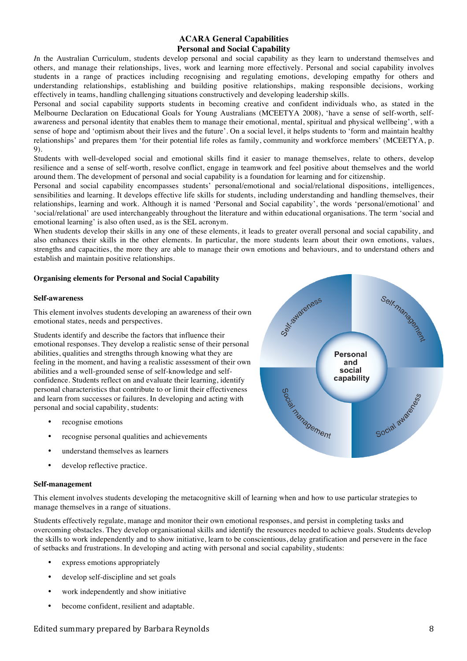# **ACARA General Capabilities Personal and Social Capability**

*In the Australian Curriculum, students develop personal and social capability as they learn to understand themselves and* others, and manage their relationships, lives, work and learning more effectively. Personal and social capability involves students in a range of practices including recognising and regulating emotions, developing empathy for others and understanding relationships, establishing and building positive relationships, making responsible decisions, working effectively in teams, handling challenging situations constructively and developing leadership skills.

Personal and social capability supports students in becoming creative and confident individuals who, as stated in the Melbourne Declaration on Educational Goals for Young Australians (MCEETYA 2008), 'have a sense of self-worth, selfawareness and personal identity that enables them to manage their emotional, mental, spiritual and physical wellbeing', with a sense of hope and 'optimism about their lives and the future'. On a social level, it helps students to 'form and maintain healthy relationships' and prepares them 'for their potential life roles as family, community and workforce members' (MCEETYA, p.  $\mathbf{Q}$ 

Students with well-developed social and emotional skills find it easier to manage themselves, relate to others, develop resilience and a sense of self-worth, resolve conflict, engage in teamwork and feel positive about themselves and the world around them. The development of personal and social capability is a foundation for learning and for citizenship.

Personal and social capability encompasses students' personal/emotional and social/relational dispositions, intelligences, sensibilities and learning. It develops effective life skills for students, including understanding and handling themselves, their relationships, learning and work. Although it is named 'Personal and Social capability', the words 'personal/emotional' and 'social/relational' are used interchangeably throughout the literature and within educational organisations. The term 'social and emotional learning' is also often used, as is the SEL acronym.

When students develop their skills in any one of these elements, it leads to greater overall personal and social capability, and also enhances their skills in the other elements. In particular, the more students learn about their own emotions, values, strengths and capacities, the more they are able to manage their own emotions and behaviours, and to understand others and establish and maintain positive relationships.

### **Organising elements for Personal and Social Capability**

### **Self-awareness**

This element involves students developing an awareness of their own emotional states, needs and perspectives.

Students identify and describe the factors that influence their emotional responses. They develop a realistic sense of their personal abilities, qualities and strengths through knowing what they are feeling in the moment, and having a realistic assessment of their own abilities and a well-grounded sense of self-knowledge and selfconfidence. Students reflect on and evaluate their learning, identify personal characteristics that contribute to or limit their effectiveness and learn from successes or failures. In developing and acting with personal and social capability, students:

- recognise emotions
- recognise personal qualities and achievements
- understand themselves as learners
- develop reflective practice.

#### **Self-management**

Self-management Samateness Personal and social capability social members Social awares

This element involves students developing the metacognitive skill of learning when and how to use particular strategies to manage themselves in a range of situations.

Students effectively regulate, manage and monitor their own emotional responses, and persist in completing tasks and overcoming obstacles. They develop organisational skills and identify the resources needed to achieve goals. Students develop the skills to work independently and to show initiative, learn to be conscientious, delay gratification and persevere in the face of setbacks and frustrations. In developing and acting with personal and social capability, students:

- express emotions appropriately
- develop self-discipline and set goals
- work independently and show initiative
- become confident, resilient and adaptable.

## Edited summary prepared by Barbara Reynolds 8 and 200 km states 8 and 3 and 3 and 3 and 3 and 3 and 3 and 3 and 3 and 3 and 3 and 3 and 3 and 3 and 3 and 3 and 3 and 3 and 3 and 3 and 3 and 3 and 3 and 3 and 3 and 3 and 3